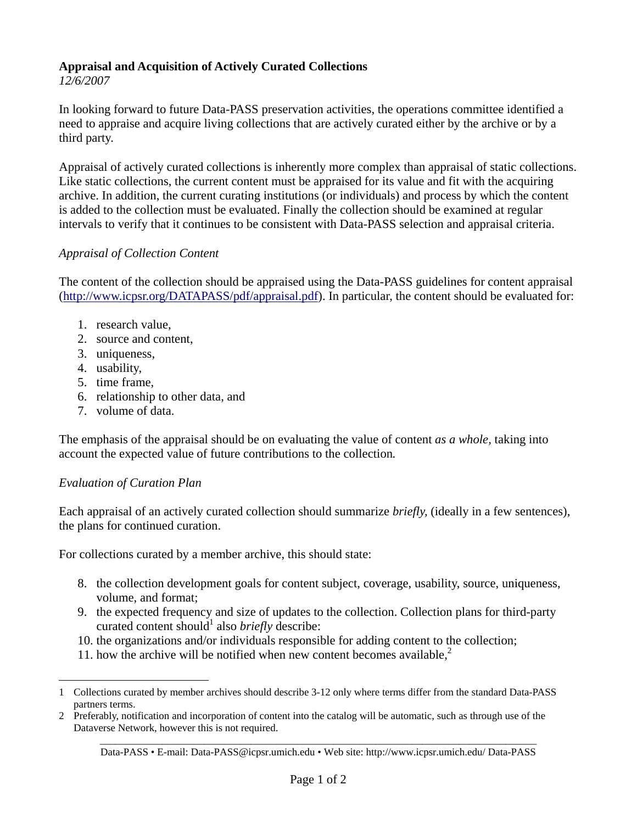## **Appraisal and Acquisition of Actively Curated Collections**

*12/6/2007* 

In looking forward to future Data-PASS preservation activities, the operations committee identified a need to appraise and acquire living collections that are actively curated either by the archive or by a third party.

Appraisal of actively curated collections is inherently more complex than appraisal of static collections. Like static collections, the current content must be appraised for its value and fit with the acquiring archive. In addition, the current curating institutions (or individuals) and process by which the content is added to the collection must be evaluated. Finally the collection should be examined at regular intervals to verify that it continues to be consistent with Data-PASS selection and appraisal criteria.

## *Appraisal of Collection Content*

The content of the collection should be appraised using the Data-PASS guidelines for content appraisal (http://www.icpsr.org/DATAPASS/pdf/appraisal.pdf). In particular, the content should be evaluated for:

- 1. research value,
- 2. source and content,
- 3. uniqueness,
- 4. usability,
- 5. time frame,
- 6. relationship to other data, and
- 7. volume of data.

The emphasis of the appraisal should be on evaluating the value of content *as a whole,* taking into account the expected value of future contributions to the collection*.* 

## *Evaluation of Curation Plan*

 $\overline{a}$ 

Each appraisal of an actively curated collection should summarize *briefly,* (ideally in a few sentences), the plans for continued curation.

For collections curated by a member archive, this should state:

- 8. the collection development goals for content subject, coverage, usability, source, uniqueness, volume, and format;
- 9. the expected frequency and size of updates to the collection. Collection plans for third-party curated content should<sup>1</sup> also *briefly* describe:
- 10. the organizations and/or individuals responsible for adding content to the collection;
- 11. how the archive will be notified when new content becomes available, $2$

<sup>1</sup> Collections curated by member archives should describe 3-12 only where terms differ from the standard Data-PASS partners terms.

\_\_\_\_\_\_\_\_\_\_\_\_\_\_\_\_\_\_\_\_\_\_\_\_\_\_\_\_\_\_\_\_\_\_\_\_\_\_\_\_\_\_\_\_\_\_\_\_\_\_\_\_\_\_\_\_\_\_\_\_\_\_\_\_\_\_\_\_\_\_\_\_\_\_\_\_\_\_\_\_\_\_\_\_ 2 Preferably, notification and incorporation of content into the catalog will be automatic, such as through use of the Dataverse Network, however this is not required.

Data-PASS • E-mail: Data-PASS@icpsr.umich.edu • Web site: http://www.icpsr.umich.edu/ Data-PASS